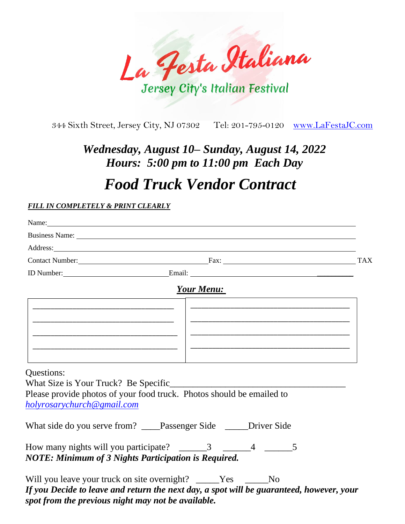

344 Sixth Street, Jersey City, NJ 07302 Tel: 201-795-0120 [www.LaFestaJC.com](http://www.lafestajc.com/)

## *Wednesday, August 10– Sunday, August 14, 2022 Hours: 5:00 pm to 11:00 pm Each Day*

## *Food Truck Vendor Contract*

## *FILL IN COMPLETELY & PRINT CLEARLY*

*spot from the previous night may not be available.*

|                                                                                           | Name: Name:                                                                                                                                                                                                                    |  |
|-------------------------------------------------------------------------------------------|--------------------------------------------------------------------------------------------------------------------------------------------------------------------------------------------------------------------------------|--|
|                                                                                           | Business Name: 1988 Contract Contract Contract Contract Contract Contract Contract Contract Contract Contract Contract Contract Contract Contract Contract Contract Contract Contract Contract Contract Contract Contract Cont |  |
|                                                                                           | Address: National Address: National Address: National Address: National Address: National Address: National Address: National Address: National Address: National Address: National Address: National Address: National Addres |  |
|                                                                                           | Contact Number: TAX                                                                                                                                                                                                            |  |
|                                                                                           |                                                                                                                                                                                                                                |  |
|                                                                                           | <b>Your Menu:</b>                                                                                                                                                                                                              |  |
| <u> 1980 - Johann John Stone, Amerikaansk politiker († 1908)</u>                          |                                                                                                                                                                                                                                |  |
|                                                                                           |                                                                                                                                                                                                                                |  |
|                                                                                           |                                                                                                                                                                                                                                |  |
|                                                                                           |                                                                                                                                                                                                                                |  |
| the control of the control of the control of the control of the control of the control of | <u> 1989 - Johann Stein, marwolaethau a bhann an t-Amhair an t-Amhair an t-Amhair an t-Amhair an t-Amhair an t-A</u>                                                                                                           |  |
| Questions:                                                                                |                                                                                                                                                                                                                                |  |
|                                                                                           |                                                                                                                                                                                                                                |  |
|                                                                                           | Please provide photos of your food truck. Photos should be emailed to                                                                                                                                                          |  |
| holyrosarychurch@gmail.com                                                                |                                                                                                                                                                                                                                |  |
|                                                                                           | What side do you serve from? ____Passenger Side _____Driver Side                                                                                                                                                               |  |
| <b>NOTE: Minimum of 3 Nights Participation is Required.</b>                               | How many nights will you participate? $\qquad \qquad 3 \qquad \qquad 4 \qquad \qquad 5$                                                                                                                                        |  |
| Will you leave your truck on site overnight? _____Yes _____No                             | If you Decide to leave and return the next day, a spot will be guaranteed, however, your                                                                                                                                       |  |